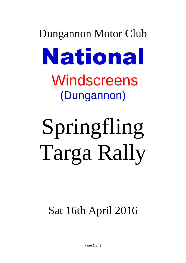## Dungannon Motor Club National **Windscreens** (Dungannon)

# Springfling Targa Rally

## Sat 16th April 2016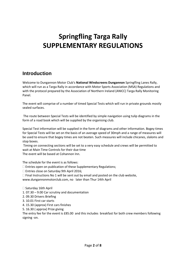## **Springfling Targa Rally SUPPLEMENTARY REGULATIONS**

## **Introduction**

Welcome to Dungannon Motor Club's **National Windscreens Dungannon** Springfling Lanes Rally, which will run as a Targa Rally in accordance with Motor Sports Association (MSA) Regulations and with the protocol prepared by the Association of Northern Ireland (ANICC) Targa Rally Monitoring Panel.

The event will comprise of a number of timed Special Tests which will run in private grounds mostly sealed surfaces.

The route between Special Tests will be identified by simple navigation using tulip diagrams in the form of a road book which will be supplied by the organising club.

Special Test information will be supplied in the form of diagrams and other information. Bogey times for Special Tests will be set on the basis of an average speed of 30mph and a range of measures will be used to ensure that bogey times are not beaten. Such measures will include chicanes, slaloms and stop boxes.

Timing on connecting sections will be set to a very easy schedule and crews will be permitted to wait at Main Time Controls for their due time The event will be based at Cohannon Inn.

The schedule for the event is as follows:

Entries open on publication of these Supplementary Regulations;

□ Entries close on Saturday 9th April 2016;

 $\Box$  Final Instructions No 1 will be sent out by email and posted on the club website,

www.dungannonmotorclub.com, no later than Thur 14th April

 $\square$  Saturday 16th April

1. 07.30 – 9.00 Car scrutiny and documentation

2. 09.30 Drivers Briefing

3. 10.01 First car starts

4. 15.30 (approx) First cars finishes

5. 16.30 ( approx) Prize giving

The entry fee for the event is £85.00 and this includes breakfast for both crew members following signing -on.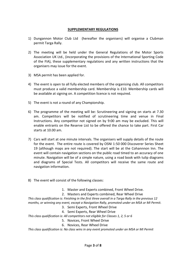## **SUPPLEMENTARY REGULATIONS**

- 1) Dungannon Motor Club Ltd (hereafter the organisers) will organise a Clubman permit Targa Rally.
- 2) The meeting will be held under the General Regulations of the Motor Sports Association UK Ltd., (incorporating the provisions of the International Sporting Code of the FIA), these supplementary regulations and any written instructions that the organisers may issue for the event.
- 3) MSA permit has been applied for.
- 4) The event is open to all fully elected members of the organising club. All competitors must produce a valid membership card. Membership is £10. Membership cards will be available at signing on. A competition licence is not required.
- 5) The event is not a round of any Championship.
- 6) The programme of the meeting will be: Scrutineering and signing on starts at 7.30 am. Competitors will be notified of scrutineering time and venue in Final Instructions. Any competitor not signed on by 9:00 am may be excluded. This will enable entrants on the Reserve List to be offered the chance to take part. First Car starts at 10.00 am.
- 7) Cars will start at one minute intervals. The organisers will supply details of the route for the event. The entire route is covered by OSNI 1:50 000 Discoverer Series Sheet 19 (although maps are not required). The start will be at the Cohannnon Inn. The event will contain navigation sections on the public road timed to an accuracy of one minute. Navigation will be of a simple nature, using a road book with tulip diagrams and diagrams of Special Tests. All competitors will receive the same route and navigation information.
- 8) The event will consist of the following classes:
	- 1. Master and Experts combined, Front Wheel Drive.
	- 2. Masters and Experts combined, Rear Wheel Drive

*This class qualification is: Finishing in the first three overall in a Targa Rally in the previous 12 months, or winning any event, except a Navigation Rally, promoted under an MSA or MI Permit.*

- 3. Semi Experts, Front Wheel Drive
- 4. Semi Experts, Rear Wheel Drive

*This class qualification is: All competitors not eligible for Classes 1, 2, 5 or 6*

- 5. Novices, Front Wheel Drive
- 6. Novices, Rear Wheel Drive

*This class qualification is: No class wins in any event promoted under an MSA or MI Permit*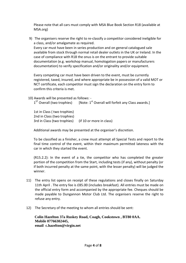Please note that all cars must comply with MSA Blue Book Section R18 (available at MSA.org)

9) The organisers reserve the right to re-classify a competitor considered ineligible for a class, and/or amalgamate as required. Every car must have been in series production and on general catalogued sale available from stock through normal retail dealer outlets in the UK or Ireland. In the case of compliance with R18 the onus is on the entrant to provide suitable documentation (e.g. workshop manual, homologation papers or manufacturers documentation) to verify specification and/or originality and/or equipment.

Every competing car must have been driven to the event, must be currently registered, taxed, insured, and where appropriate be in possession of a valid MOT or NCT certificate, each competitor must sign the declaration on the entry form to confirm this criteria is met.

10) Awards will be presented as follows: - 1<sup>ST</sup> Overall (two trophies) [Note:  $1<sup>st</sup>$  Overall will forfeit any Class awards.]

1st in Class ( two trophies) 2nd in Class (two trophies) 3rd in Class (two trophies) (if 10 or more in class)

Additional awards may be presented at the organiser's discretion.

To be classified as a finisher, a crew must attempt all Special Tests and report to the final time control of the event, within their maximum permitted lateness with the car in which they started the event.

(R15.2.2): In the event of a tie, the competitor who has completed the greater portion of the competition from the Start, including tests (if any), without penalty (or if both incurred penalty at the same point, with the lesser penalty) will be judged the winner.

- 11) The entry list opens on receipt of these regulations and closes finally on Saturday 11th April . The entry fee is £85.00 (includes breakfast). All entries must be made on the official entry form and accompanied by the appropriate fee. Cheques should be made payable to Dungannon Motor Club Ltd. The organisers reserve the right to refuse any entry.
- 12) The Secretary of the meeting to whom all entries should be sent:

**Colin Hazelton 37a Ruskey Road, Coagh, Cookstown , BT80 0AA. Mobile 07766302445, email c.hazelton@virgin.net**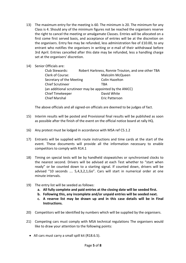- 13) The maximum entry for the meeting is 60. The minimum is 20. The minimum for any Class is 4. Should any of the minimum figures not be reached the organisers reserve the right to cancel the meeting or amalgamate Classes. Entries will be allocated on a first come first served basis, and acceptance of entries will be at the discretion on the organisers. Entry fee may be refunded, less administration fee of £10.00, to any entrant who notifies the organisers in writing or e-mail of their withdrawal before 3rd April. Entries cancelled after this date may be refunded, less a handling charge set at the organisers' discretion.
- 14) Senior Officials are:

| Club Stewards:           | Robert Harkness, Ronnie Trouton, and one other TBA       |
|--------------------------|----------------------------------------------------------|
| Clerk of Course:         | Malcolm McQueen                                          |
| Secretary of the Meeting | <b>Colin Hazelton</b>                                    |
| <b>Chief Scrutineer</b>  | TRA                                                      |
|                          | (an additional scrutineer may be appointed by the ANICC) |
| <b>Chief Timekeeper</b>  | David White                                              |
| <b>Chief Marshal</b>     | Eric Patterson                                           |

The above officials and all signed-on officials are deemed to be judges of fact.

- 15) Interim results will be posted and Provisional final results will be published as soon as possible after the finish of the event on the official notice board at rally HQ.
- 16) Any protest must be lodged in accordance with MSA ref C5.1.2
- 17) Entrants will be supplied with route instructions and time cards at the start of the event. These documents will provide all the information necessary to enable competitors to comply with R14.1
- 18) Timing on special tests will be by handheld stopwatches or synchronised clocks to the nearest second. Drivers will be advised at each Test whether to "start when ready" or be counted down to a starting signal. If counted down, drivers will be advised "10 seconds …. 5,4,3,2,1,Go". Cars will start in numerical order at one minute intervals.
- 19) The entry list will be seeded as follows:
	- **a. All fully complete and paid entries at the closing date will be seeded first.**
	- **b. Following this, any incomplete and/or unpaid entries will be seeded next.**
	- **c. A reserve list may be drawn up and in this case details will be in Final Instructions.**
- 20) Competitors will be identified by numbers which will be supplied by the organisers.
- 21) Competing cars must comply with MSA technical regulations The organisers would like to draw your attention to the following points:
	- All cars must carry a small spill kit (R18.6.5).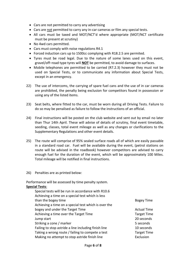- Cars are not permitted to carry any advertising
- Cars are not permitted to carry any in-car cameras or film any special tests.
- All cars must be taxed and MOT/NCT'd where appropriate (MOT/NCT certificate must be present at scrutiny)
- No 4wd cars permitted.
- Cars must comply with noise regulations R4.1
- Forced induction cars up to 1500cc complying with R18.2.5 are permited.
- Tyres must be road legal. Due to the nature of some lanes used on this event, gravel/off–road type tyres will **NOT** be permitted, to avoid damage to surfaces.
- Mobile telephones are permitted to be carried (R7.2.3) however they must not be used on Special Tests, or to communicate any information about Special Tests, except in an emergency.
- 22) The use of intercoms, the carrying of spare fuel cans and the use of in car cameras are prohibited, the penalty being exclusion for competitors found in possession or using any of the listed items.
- 23) Seat belts, where fitted to the car, must be worn during all Driving Tests. Failure to do so may be penalised as failure to follow the instructions of an official.
- 24) Final instructions will be posted on the club website and sent out by email no later than Thur 14th April. These will advise of details of scrutiny, final event timetable, seeding, classes, total event mileage as well as any changes or clarifications to the Supplementary Regulations and other event details.
- 25) The route will comprise of 95% sealed surface roads all of which are easily passable in a standard road car. Fuel will be available during the event, (petrol stations on route will be advised in the roadbook) however competitors are advised to carry enough fuel for the duration of the event, which will be approximately 100 Miles. Total mileage will be notified in final instructions.
- 26) Penalties are as printed below:

Performance will be assessed by time penalty system. **Special Tests**:

| Special tests will be run in accordance with R10.6   |                    |
|------------------------------------------------------|--------------------|
| Achieving a time on a special test which is less     |                    |
| than the bogey time                                  | <b>Bogey Time</b>  |
| Achieving a time on a special test which is over the |                    |
| bogey and under the Target Time                      | <b>Actual Time</b> |
| Achieving a time over the Target Time                | <b>Target Time</b> |
| Jump start                                           | 20 seconds         |
| Striking a cone / marker                             | 5 seconds          |
| Failing to stop astride a line including finish line | 10 seconds         |
| Taking a wrong route / failing to compete a test     | <b>Target Time</b> |
| Making no attempt to stop astride finish line        | Exclusion          |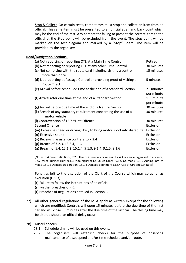Stop & Collect. On certain tests, competitors must stop and collect an item from an official. This same item must be presented to an official at a hand back point which may be the end of the test. Any competitor failing to present the correct item to the official at the Stop point will be excluded from the event. The stop point will be marked on the test diagram and marked by a "Stop" Board. The item will be provided by the organisers.

## **Road/Navigation Sections:**

| (a) Not reporting or reporting OTL at a Main Time Control                                   | Retired                                |
|---------------------------------------------------------------------------------------------|----------------------------------------|
| (b) Not reporting or reporting OTL at any other Time Control                                | 30 minutes                             |
| (c) Not complying with the route card including visiting a control<br>more than once        | 15 minutes                             |
| (d) Not reporting at Passage Control or providing proof of visiting a<br><b>Route Check</b> | 5 minutes                              |
| (e) Arrival before scheduled time at the end of a Standard Section                          | minutes<br>$\mathcal{L}$<br>per minute |
| (f) Arrival after due time at the end of a Standard Section                                 | minute<br>1<br>per minute              |
| (g) Arrival before due time at the end of a Neutral Section                                 | 30 minutes                             |
| (k) Breach of any statutory requirement concerning the use of a<br>motor vehicle            | 30 minutes                             |
| (I) Contravention of 12.7 *First Offence                                                    | 30 minutes                             |
| Second Offence                                                                              | Exclusion                              |
| (m) Excessive speed or driving likely to bring motor sport into disrepute                   | Exclusion                              |
| (n) Excessive sound                                                                         | Exclusion                              |
| (o) Receiving assistance contrary to 7.2.4                                                  | Exclusion                              |
| (p) Breach of 7.2.3, 18.6.4, 116                                                            | Exclusion                              |
| (q) Breach of 5.4, 15.1.2, 15.1.4, 9.1.3, 9.1.4, 9.1.5, 9.1.6                               | Exclusion                              |

[Notes: 5.4 Crew definitions; 7.2.3 Use of intercoms or radios; 7.2.4 Assistance organised in advance; 12.7 three-quarter rule; 9.1.3 Stop signs; 9.1.4 Quiet zones; 9.1.5 OS maps; 9.1.6 Adding info to maps; 15.1.2 Damage Declaration; 15.1.4 Damage definition; 18.6.4 Use of GPS and Sat Navs]

Penalties left to the discretion of the Clerk of the Course which may go as far as exclusion (G.5.3).

- (r) Failure to follow the instructions of an official.
- (s) Further breaches of (k).
- (t) Breaches of Regulations detailed in Section C
- 27) All other general regulations of the MSA apply as written except for the following which are modified: Controls will open 15 minutes before the due time of the first car and will close 15 minutes after the due time of the last car. The closing time may be altered should an official delay occur.
- 28) Miscellaneous
	- 28.1 Schedule timing will be used on this event.
	- 28.2 The organisers will establish checks for the purpose of observing maintenance of a set speed and/or time schedule and/or route.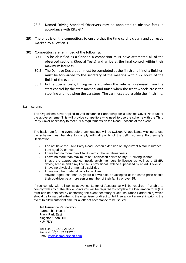- 28.3 Named Driving Standard Observers may be appointed to observe facts in accordance with R8.3-8.4
- 29) The onus is on the competitors to ensure that the time card is clearly and correctly marked by all officials.
- 30) Competitors are reminded of the following:
	- 30.1 To be classified as a finisher, a competitor must have attempted all of the observed sections (Special Tests) and arrive at the final control within their maximum lateness.
	- 30.2 The Damage Declaration must be completed at the finish and if not a finisher, must be forwarded to the secretary of the meeting within 72 hours of the finish of the event.
	- 30.3 In the Special tests, timing will start when the vehicle is released from the start control by the start marshal and finish when the front wheels cross the stop line and not when the car stops. The car must stop astride the finish line.

## 31) Insurance

The Organisers have applied to Jelf Insurance Partnership for a Blanket Cover Note under the above scheme. This will provide competitors who need to use the scheme with the Third Party Cover necessary to meet RTA requirements on the Road Sections of the event.

The basic rate for the event before any loadings will be **£16.00.** All applicants wishing to use the scheme must be able to comply with all points of the Jelf Insurance Partnership's Declaration: -

- I do not have the Third Party Road Section extension on my current Motor Insurance.
- I am aged 20 or over.
- I have had no more than 1 fault claim in the last three years
- I have no more than maximum of 6 conviction points on my UK driving licence
- I have the appropriate competition/club membership licence as well as a UK/EU driving license and if my license is provisional I will be supervised by an adult over 25.
- I have no physical or mental disabilities
- I have no other material facts to disclose
- Anyone aged less than 20 years old will also be accepted at the same price should their co-driver be a more senior member of their family or over 25.

If you comply with all points above no Letter of Acceptance will be required. If unable to comply with any of the above points you will be required to complete the Declaration form (the form can be obtained by contacting the event secretary or Jelf Insurance Partnership) which should be forwarded either to the organisers or direct to Jelf Insurance Partnership prior to the event to allow sufficient time for a letter of acceptance to be issued.

Jelf Insurance Partnership Partnership House Priory Park East Kingston Upon Hull HU4 7DY

Tel + 44 (0) 1482 213215 Fax + 44 (0) 1482 213216 Email [info@jelfmotorsport.com](mailto:info@jelfmotorsport.com)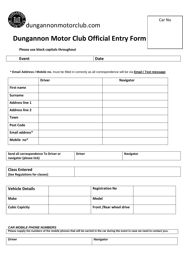

## **Dungannon Motor Club Official Entry Form**

**Please use block capitals throughout**

| $\overline{\phantom{a}}$<br>Event | Date |
|-----------------------------------|------|
|-----------------------------------|------|

**\* Email Address / Mobile no.** must be filled in correctly as all correspondence will be via **Email / Text message**

|                       | <b>Driver</b> | <b>Navigator</b> |
|-----------------------|---------------|------------------|
| <b>First name</b>     |               |                  |
| <b>Surname</b>        |               |                  |
| <b>Address line 1</b> |               |                  |
| <b>Address line 2</b> |               |                  |
| <b>Town</b>           |               |                  |
| <b>Post Code</b>      |               |                  |
| Email address*        |               |                  |
| Mobile no*            |               |                  |

| Send all correspondence To Driver or | Driver | <b>Navigator</b> |
|--------------------------------------|--------|------------------|
| navigator (please tick)              |        |                  |

| <b>Class Entered</b>          |  |
|-------------------------------|--|
| (See Regulations for classes) |  |

| <b>Vehicle Details</b> | <b>Registration No</b>          |  |
|------------------------|---------------------------------|--|
| <b>Make</b>            | <b>Model</b>                    |  |
| <b>Cubic Capicity</b>  | <b>Front / Rear wheel drive</b> |  |

## *CAR MOBILE PHONE NUMBERS*

**Please supply the numbers of the mobile phones that will be carried in the car during the event in case we need to contact you.**

| <b>Driver</b> | Navigator<br><b>114719</b> |
|---------------|----------------------------|
|               |                            |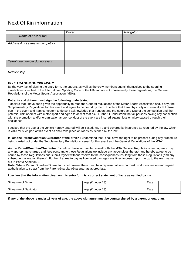## Next Of Kin information

| <b>Driver</b> | Navigator |
|---------------|-----------|
|               |           |
|               |           |
|               |           |
|               |           |
|               |           |
|               |           |
|               |           |
|               |           |
|               |           |
|               |           |
|               |           |
|               |           |

#### *DECLARATION OF INDEMNITY*

By the very fact of signing the entry form, the entrant, as well as the crew members submit themselves to the sporting jurisdictions specified in the International Sporting Code of the FIA and accept unreservedly these regulations, the General Regulations of the Motor Sports Association (MSA).

#### **Entrants and drivers must sign the following undertaking:**

'I declare that I have been given the opportunity to read the General regulations of the Motor Sports Association and, if any, the Supplementary Regulations for this event and agree to be bound by them. I declare that I am physically and mentally fit to take part in the event and I am competent to do so. I acknowledge that I understand the nature and type of the competition and the potential risk inherent with motor sport and agree to accept that risk. Further, I understand that all persons having any connection with the promotion and/or organisation and/or conduct of the event are insured against loss or injury caused through their negligence.

I declare that the use of the vehicle hereby entered will be Taxed, MOT'd and covered by insurance as required by the law which is valid for such part of this event as shall take place on roads as defined by the law.

**If I am the Parent/Guardian/Guarantor of the driver** 'I understand that I shall have the right to be present during any procedure being carried out under the Supplementary Regulations issued for this event and the General Regulations of the MSA'

**As the Parent/Guardian/Guarantor:** 'I confirm I have acquainted myself with the MSA General Regulations, and agree to pay any appropriate charges and fees pursuant to those Regulations (to include any appendices thereto) and hereby agree to be bound by those Regulations and submit myself without reserve to the consequences resulting from those Regulations (and any subsequent alteration thereof). Further, I agree to pay as liquidated damages any fines imposed upon me up to the maxima set out in Part 3 Appendix 1.

**Note:** Where Parent/Guardian/Guarantor is not present there must be a representative who must produce a written and signed authorisation to so act from the Parent/Guardian/Guarantor as appropriate.

#### **I declare that the information given on this entry form is a correct statement of facts as verified by me.**

| Signature of Driver    | Age (if under 18) | Date |  |
|------------------------|-------------------|------|--|
| Signature of Navigator | Age (if under 18) | Date |  |

**If any of the above is under 18 year of age, the above signature must be countersigned by a parent or guardian.**